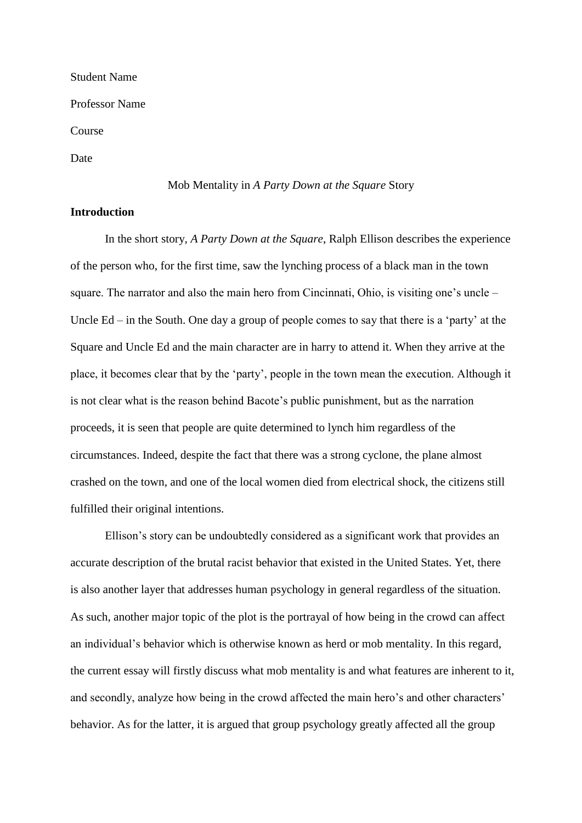Student Name

Professor Name

Course

Date

#### Mob Mentality in *A Party Down at the Square* Story

## **Introduction**

In the short story, *A Party Down at the Square*, Ralph Ellison describes the experience of the person who, for the first time, saw the lynching process of a black man in the town square. The narrator and also the main hero from Cincinnati, Ohio, is visiting one's uncle – Uncle Ed – in the South. One day a group of people comes to say that there is a 'party' at the Square and Uncle Ed and the main character are in harry to attend it. When they arrive at the place, it becomes clear that by the 'party', people in the town mean the execution. Although it is not clear what is the reason behind Bacote's public punishment, but as the narration proceeds, it is seen that people are quite determined to lynch him regardless of the circumstances. Indeed, despite the fact that there was a strong cyclone, the plane almost crashed on the town, and one of the local women died from electrical shock, the citizens still fulfilled their original intentions.

Ellison's story can be undoubtedly considered as a significant work that provides an accurate description of the brutal racist behavior that existed in the United States. Yet, there is also another layer that addresses human psychology in general regardless of the situation. As such, another major topic of the plot is the portrayal of how being in the crowd can affect an individual's behavior which is otherwise known as herd or mob mentality. In this regard, the current essay will firstly discuss what mob mentality is and what features are inherent to it, and secondly, analyze how being in the crowd affected the main hero's and other characters' behavior. As for the latter, it is argued that group psychology greatly affected all the group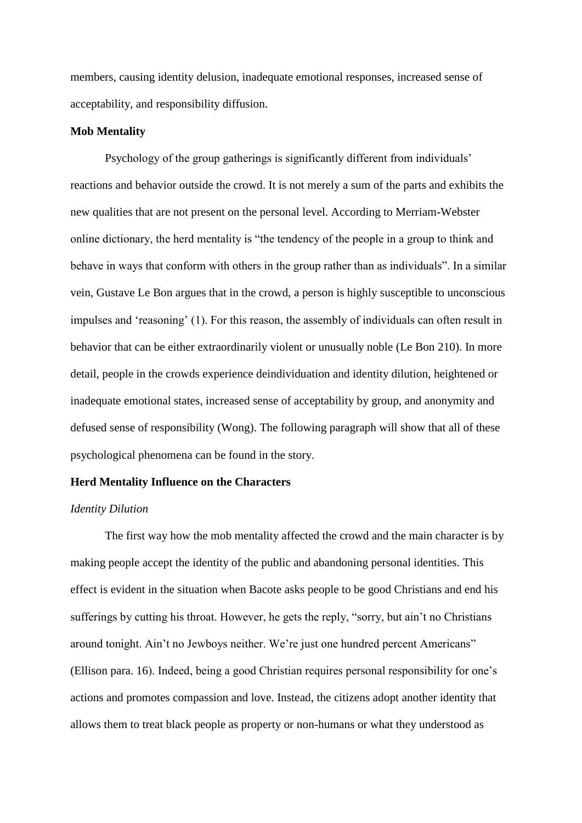members, causing identity delusion, inadequate emotional responses, increased sense of acceptability, and responsibility diffusion.

#### **Mob Mentality**

Psychology of the group gatherings is significantly different from individuals' reactions and behavior outside the crowd. It is not merely a sum of the parts and exhibits the new qualities that are not present on the personal level. According to Merriam-Webster online dictionary, the herd mentality is "the tendency of the people in a group to think and behave in ways that conform with others in the group rather than as individuals". In a similar vein, Gustave Le Bon argues that in the crowd, a person is highly susceptible to unconscious impulses and 'reasoning' (1). For this reason, the assembly of individuals can often result in behavior that can be either extraordinarily violent or unusually noble (Le Bon 210). In more detail, people in the crowds experience deindividuation and identity dilution, heightened or inadequate emotional states, increased sense of acceptability by group, and anonymity and defused sense of responsibility (Wong). The following paragraph will show that all of these psychological phenomena can be found in the story.

# **Herd Mentality Influence on the Characters**

#### *Identity Dilution*

The first way how the mob mentality affected the crowd and the main character is by making people accept the identity of the public and abandoning personal identities. This effect is evident in the situation when Bacote asks people to be good Christians and end his sufferings by cutting his throat. However, he gets the reply, "sorry, but ain't no Christians around tonight. Ain't no Jewboys neither. We're just one hundred percent Americans" (Ellison para. 16). Indeed, being a good Christian requires personal responsibility for one's actions and promotes compassion and love. Instead, the citizens adopt another identity that allows them to treat black people as property or non-humans or what they understood as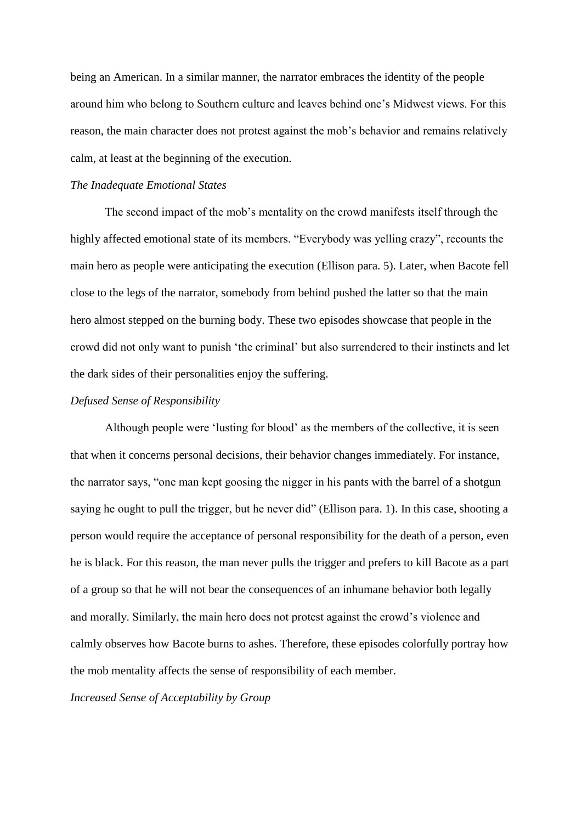being an American. In a similar manner, the narrator embraces the identity of the people around him who belong to Southern culture and leaves behind one's Midwest views. For this reason, the main character does not protest against the mob's behavior and remains relatively calm, at least at the beginning of the execution.

#### *The Inadequate Emotional States*

The second impact of the mob's mentality on the crowd manifests itself through the highly affected emotional state of its members. "Everybody was yelling crazy", recounts the main hero as people were anticipating the execution (Ellison para. 5). Later, when Bacote fell close to the legs of the narrator, somebody from behind pushed the latter so that the main hero almost stepped on the burning body. These two episodes showcase that people in the crowd did not only want to punish 'the criminal' but also surrendered to their instincts and let the dark sides of their personalities enjoy the suffering.

### *Defused Sense of Responsibility*

Although people were 'lusting for blood' as the members of the collective, it is seen that when it concerns personal decisions, their behavior changes immediately. For instance, the narrator says, "one man kept goosing the nigger in his pants with the barrel of a shotgun saying he ought to pull the trigger, but he never did" (Ellison para. 1). In this case, shooting a person would require the acceptance of personal responsibility for the death of a person, even he is black. For this reason, the man never pulls the trigger and prefers to kill Bacote as a part of a group so that he will not bear the consequences of an inhumane behavior both legally and morally. Similarly, the main hero does not protest against the crowd's violence and calmly observes how Bacote burns to ashes. Therefore, these episodes colorfully portray how the mob mentality affects the sense of responsibility of each member.

#### *Increased Sense of Acceptability by Group*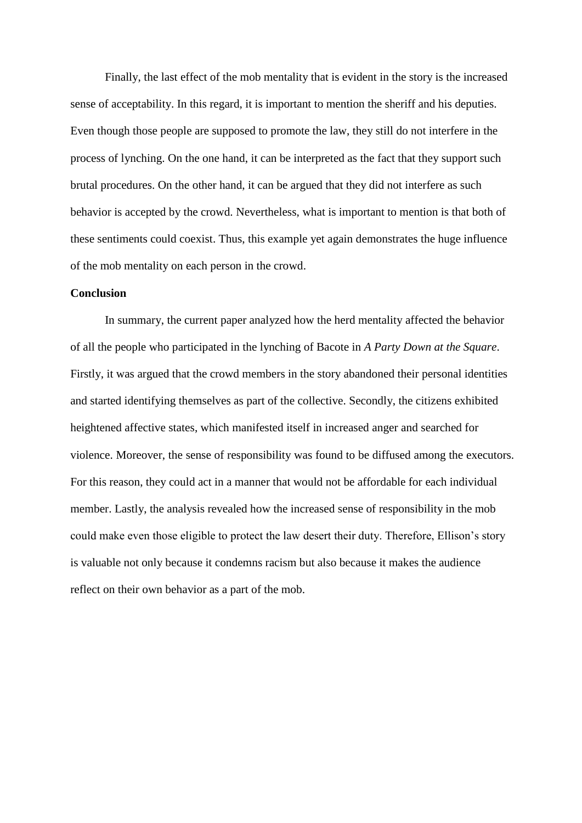Finally, the last effect of the mob mentality that is evident in the story is the increased sense of acceptability. In this regard, it is important to mention the sheriff and his deputies. Even though those people are supposed to promote the law, they still do not interfere in the process of lynching. On the one hand, it can be interpreted as the fact that they support such brutal procedures. On the other hand, it can be argued that they did not interfere as such behavior is accepted by the crowd. Nevertheless, what is important to mention is that both of these sentiments could coexist. Thus, this example yet again demonstrates the huge influence of the mob mentality on each person in the crowd.

#### **Conclusion**

In summary, the current paper analyzed how the herd mentality affected the behavior of all the people who participated in the lynching of Bacote in *A Party Down at the Square*. Firstly, it was argued that the crowd members in the story abandoned their personal identities and started identifying themselves as part of the collective. Secondly, the citizens exhibited heightened affective states, which manifested itself in increased anger and searched for violence. Moreover, the sense of responsibility was found to be diffused among the executors. For this reason, they could act in a manner that would not be affordable for each individual member. Lastly, the analysis revealed how the increased sense of responsibility in the mob could make even those eligible to protect the law desert their duty. Therefore, Ellison's story is valuable not only because it condemns racism but also because it makes the audience reflect on their own behavior as a part of the mob.